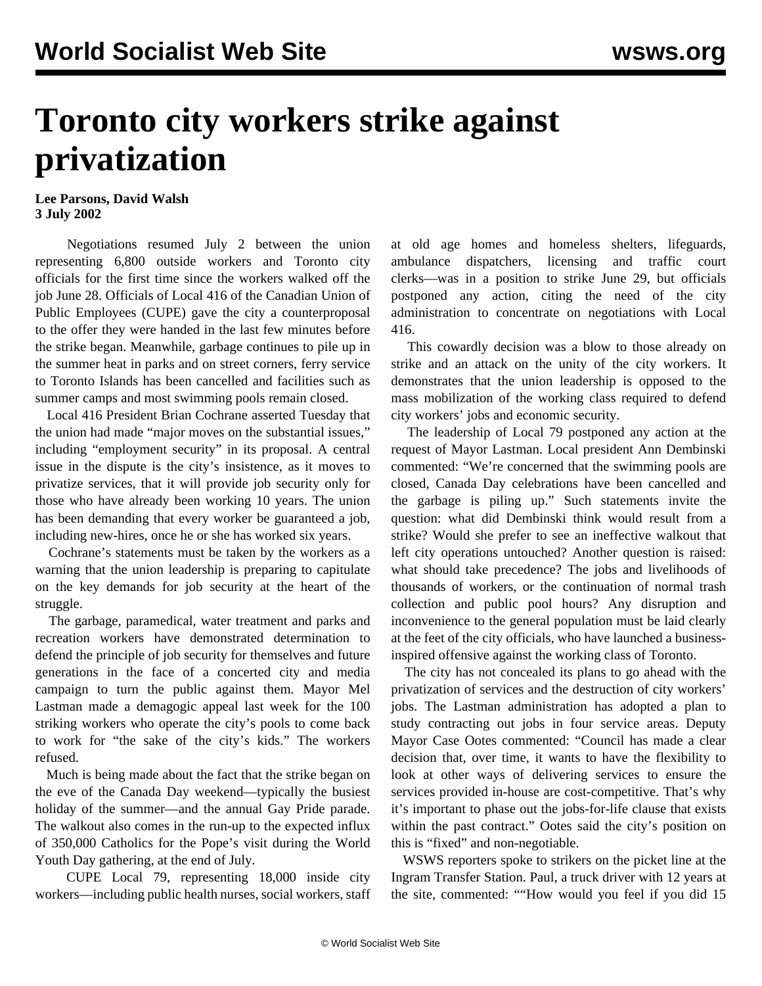## **Toronto city workers strike against privatization**

## **Lee Parsons, David Walsh 3 July 2002**

 Negotiations resumed July 2 between the union representing 6,800 outside workers and Toronto city officials for the first time since the workers walked off the job June 28. Officials of Local 416 of the Canadian Union of Public Employees (CUPE) gave the city a counterproposal to the offer they were handed in the last few minutes before the strike began. Meanwhile, garbage continues to pile up in the summer heat in parks and on street corners, ferry service to Toronto Islands has been cancelled and facilities such as summer camps and most swimming pools remain closed.

 Local 416 President Brian Cochrane asserted Tuesday that the union had made "major moves on the substantial issues," including "employment security" in its proposal. A central issue in the dispute is the city's insistence, as it moves to privatize services, that it will provide job security only for those who have already been working 10 years. The union has been demanding that every worker be guaranteed a job, including new-hires, once he or she has worked six years.

 Cochrane's statements must be taken by the workers as a warning that the union leadership is preparing to capitulate on the key demands for job security at the heart of the struggle.

 The garbage, paramedical, water treatment and parks and recreation workers have demonstrated determination to defend the principle of job security for themselves and future generations in the face of a concerted city and media campaign to turn the public against them. Mayor Mel Lastman made a demagogic appeal last week for the 100 striking workers who operate the city's pools to come back to work for "the sake of the city's kids." The workers refused.

 Much is being made about the fact that the strike began on the eve of the Canada Day weekend—typically the busiest holiday of the summer—and the annual Gay Pride parade. The walkout also comes in the run-up to the expected influx of 350,000 Catholics for the Pope's visit during the World Youth Day gathering, at the end of July.

 CUPE Local 79, representing 18,000 inside city workers—including public health nurses, social workers, staff at old age homes and homeless shelters, lifeguards, ambulance dispatchers, licensing and traffic court clerks—was in a position to strike June 29, but officials postponed any action, citing the need of the city administration to concentrate on negotiations with Local 416.

 This cowardly decision was a blow to those already on strike and an attack on the unity of the city workers. It demonstrates that the union leadership is opposed to the mass mobilization of the working class required to defend city workers' jobs and economic security.

 The leadership of Local 79 postponed any action at the request of Mayor Lastman. Local president Ann Dembinski commented: "We're concerned that the swimming pools are closed, Canada Day celebrations have been cancelled and the garbage is piling up." Such statements invite the question: what did Dembinski think would result from a strike? Would she prefer to see an ineffective walkout that left city operations untouched? Another question is raised: what should take precedence? The jobs and livelihoods of thousands of workers, or the continuation of normal trash collection and public pool hours? Any disruption and inconvenience to the general population must be laid clearly at the feet of the city officials, who have launched a businessinspired offensive against the working class of Toronto.

 The city has not concealed its plans to go ahead with the privatization of services and the destruction of city workers' jobs. The Lastman administration has adopted a plan to study contracting out jobs in four service areas. Deputy Mayor Case Ootes commented: "Council has made a clear decision that, over time, it wants to have the flexibility to look at other ways of delivering services to ensure the services provided in-house are cost-competitive. That's why it's important to phase out the jobs-for-life clause that exists within the past contract." Ootes said the city's position on this is "fixed" and non-negotiable.

 WSWS reporters spoke to strikers on the picket line at the Ingram Transfer Station. Paul, a truck driver with 12 years at the site, commented: ""How would you feel if you did 15